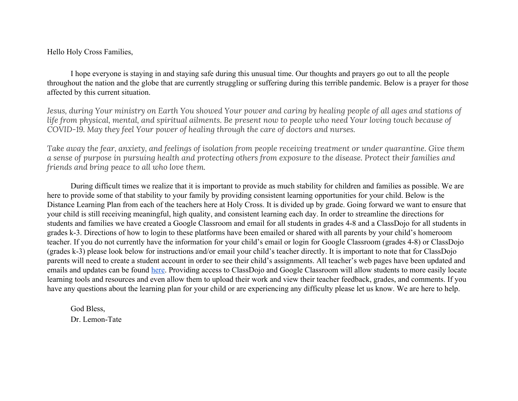Hello Holy Cross Families,

I hope everyone is staying in and staying safe during this unusual time. Our thoughts and prayers go out to all the people throughout the nation and the globe that are currently struggling or suffering during this terrible pandemic. Below is a prayer for those affected by this current situation.

Jesus, during Your ministry on Earth You showed Your power and caring by healing people of all ages and stations of life from physical, mental, and spiritual ailments. Be present now to people who need Your loving touch because of *COVID-19. May they feel Your power of healing through the care of doctors and nurses.*

Take away the fear, anxiety, and feelings of isolation from people receiving treatment or under quarantine. Give them a sense of purpose in pursuing health and protecting others from exposure to the disease. Protect their families and *friends and bring peace to all who love them.*

During difficult times we realize that it is important to provide as much stability for children and families as possible. We are here to provide some of that stability to your family by providing consistent learning opportunities for your child. Below is the Distance Learning Plan from each of the teachers here at Holy Cross. It is divided up by grade. Going forward we want to ensure that your child is still receiving meaningful, high quality, and consistent learning each day. In order to streamline the directions for students and families we have created a Google Classroom and email for all students in grades 4-8 and a ClassDojo for all students in grades k-3. Directions of how to login to these platforms have been emailed or shared with all parents by your child's homeroom teacher. If you do not currently have the information for your child's email or login for Google Classroom (grades 4-8) or ClassDojo (grades k-3) please look below for instructions and/or email your child's teacher directly. It is important to note that for ClassDojo parents will need to create a student account in order to see their child's assignments. All teacher's web pages have been updated and emails and updates can be found [here.](https://holycrossphila.independencemissionschools.org/our-school/faculty-and-staff/) Providing access to ClassDojo and Google Classroom will allow students to more easily locate learning tools and resources and even allow them to upload their work and view their teacher feedback, grades, and comments. If you have any questions about the learning plan for your child or are experiencing any difficulty please let us know. We are here to help.

God Bless,

Dr. Lemon-Tate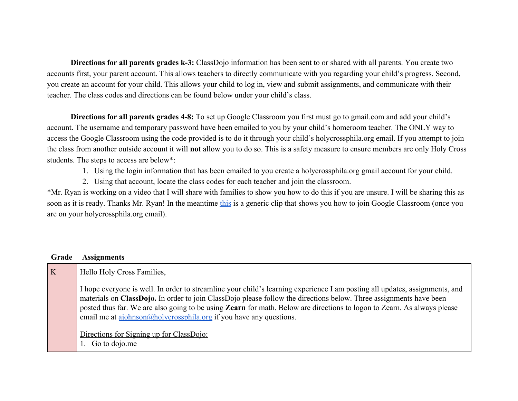**Directions for all parents grades k-3:** ClassDojo information has been sent to or shared with all parents. You create two accounts first, your parent account. This allows teachers to directly communicate with you regarding your child's progress. Second, you create an account for your child. This allows your child to log in, view and submit assignments, and communicate with their teacher. The class codes and directions can be found below under your child's class.

**Directions for all parents grades 4-8:** To set up Google Classroom you first must go to gmail.com and add your child's account. The username and temporary password have been emailed to you by your child's homeroom teacher. The ONLY way to access the Google Classroom using the code provided is to do it through your child's holycrossphila.org email. If you attempt to join the class from another outside account it will **not** allow you to do so. This is a safety measure to ensure members are only Holy Cross students. The steps to access are below\*:

- 1. Using the login information that has been emailed to you create a holycrossphila.org gmail account for your child.
- 2. Using that account, locate the class codes for each teacher and join the classroom.

\*Mr. Ryan is working on a video that I will share with families to show you how to do this if you are unsure. I will be sharing this as soon as it is ready. Thanks Mr. Ryan! In the meantime [this](https://www.youtube.com/watch?v=kUOWFEqSr3w%E2%80%8B.) is a generic clip that shows you how to join Google Classroom (once you are on your holycrossphila.org email).

| K<br>Hello Holy Cross Families,<br>materials on ClassDojo. In order to join ClassDojo please follow the directions below. Three assignments have been<br>email me at $a$ johnson $(a)$ holycrossphila.org if you have any questions. | Grade | <b>Assignments</b>                                                                                                                                                                                                                                                                                 |
|--------------------------------------------------------------------------------------------------------------------------------------------------------------------------------------------------------------------------------------|-------|----------------------------------------------------------------------------------------------------------------------------------------------------------------------------------------------------------------------------------------------------------------------------------------------------|
|                                                                                                                                                                                                                                      |       |                                                                                                                                                                                                                                                                                                    |
| 1. Go to dojo.me                                                                                                                                                                                                                     |       | I hope everyone is well. In order to streamline your child's learning experience I am posting all updates, assignments, and<br>posted thus far. We are also going to be using Zearn for math. Below are directions to logon to Zearn. As always please<br>Directions for Signing up for ClassDojo: |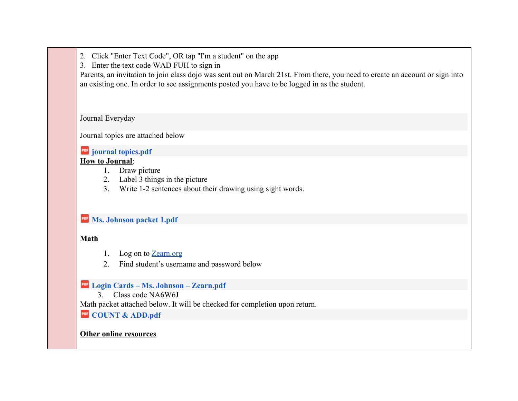2. Click "Enter Text Code", OR tap "I'm a student" on the app

3. Enter the text code WAD FUH to sign in

Parents, an invitation to join class dojo was sent out on March 21st. From there, you need to create an account or sign into an existing one. In order to see assignments posted you have to be logged in as the student.

Journal Everyday

Journal topics are attached below

### **POF** [journal topics.pdf](https://drive.google.com/a/holycrossphila.org/file/d/1YQNb5c0hnrp1_jYxORJyMA1dyzutUCyr/view?usp=drive_web)

### **How to Journal**:

- 1. Draw picture
- 2. Label 3 things in the picture
- 3. Write 1-2 sentences about their drawing using sight words.

## *Ms. Johnson packet 1.pdf*

## **Math**

- 1. Log on to [Zearn.org](https://www.zearn.org/)
- 2. Find student's username and password below

# **[Login Cards – Ms. Johnson – Zearn.pdf](https://drive.google.com/a/holycrossphila.org/file/d/1O-5S0kKm4MIWArR3duTrBc1Ly38DgWbA/view?usp=drive_web)**

3. Class code NA6W6J

Math packet attached below. It will be checked for completion upon return.

# **PDF** [COUNT & ADD.pdf](https://drive.google.com/a/holycrossphila.org/file/d/1JodhD-Nah2zw3F7HBgkCOJ8VdYHwcfgc/view?usp=drive_web)

### **Other online resources**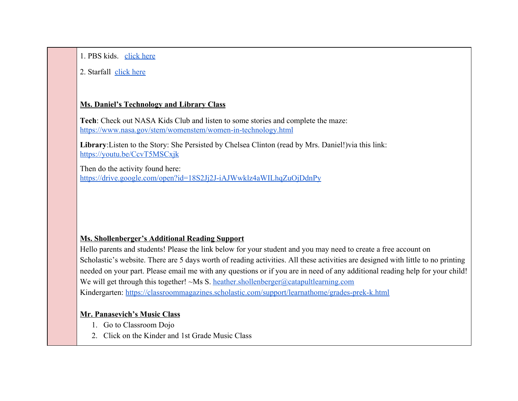1. PBS kids. [click here](https://pbskids.org/games/all-topics/)

### 2. Starfall [click here](https://www.starfall.com/h/index-kindergarten.php)

### **Ms. Daniel's Technology and Library Class**

**Tech**: Check out NASA Kids Club and listen to some stories and complete the maze: <https://www.nasa.gov/stem/womenstem/women-in-technology.html>

**Library**:Listen to the Story: She Persisted by Chelsea Clinton (read by Mrs. Daniel!)via this link: <https://youtu.be/CcvT5MSCxjk>

Then do the activity found here: <https://drive.google.com/open?id=18S2Jj2J-iAJWwklz4aWILhqZuOjDdnPy>

### **Ms. Shollenberger's Additional Reading Support**

Hello parents and students! Please the link below for your student and you may need to create a free account on Scholastic's website. There are 5 days worth of reading activities. All these activities are designed with little to no printing needed on your part. Please email me with any questions or if you are in need of any additional reading help for your child! We will get through this together!  $\sim$ Ms S. [heather.shollenberger@catapultlearning.com](mailto:heather.shollenberger@catapultlearning.com) Kindergarten: <https://classroommagazines.scholastic.com/support/learnathome/grades-prek-k.html>

### **Mr. Panasevich's Music Class**

- 1. Go to Classroom Dojo
- 2. Click on the Kinder and 1st Grade Music Class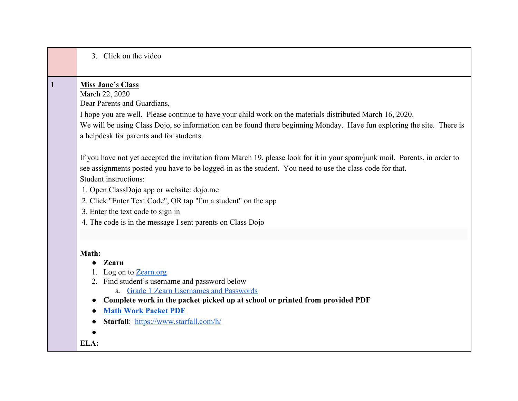|              | 3. Click on the video                                                                                                                                                                                                                                                                                                                                                                                                                                                            |
|--------------|----------------------------------------------------------------------------------------------------------------------------------------------------------------------------------------------------------------------------------------------------------------------------------------------------------------------------------------------------------------------------------------------------------------------------------------------------------------------------------|
| $\mathbf{1}$ | <b>Miss Jane's Class</b><br>March 22, 2020<br>Dear Parents and Guardians,<br>I hope you are well. Please continue to have your child work on the materials distributed March 16, 2020.<br>We will be using Class Dojo, so information can be found there beginning Monday. Have fun exploring the site. There is<br>a helpdesk for parents and for students.                                                                                                                     |
|              | If you have not yet accepted the invitation from March 19, please look for it in your spam/junk mail. Parents, in order to<br>see assignments posted you have to be logged-in as the student. You need to use the class code for that.<br>Student instructions:<br>1. Open ClassDojo app or website: dojo.me<br>2. Click "Enter Text Code", OR tap "I'm a student" on the app<br>3. Enter the text code to sign in<br>4. The code is in the message I sent parents on Class Dojo |
|              | Math:<br>Zearn<br>1. Log on to Zearn.org<br>2. Find student's username and password below<br>a. Grade 1 Zearn Usernames and Passwords<br>Complete work in the packet picked up at school or printed from provided PDF<br><b>Math Work Packet PDF</b><br>Starfall: https://www.starfall.com/h/                                                                                                                                                                                    |
|              | ELA:                                                                                                                                                                                                                                                                                                                                                                                                                                                                             |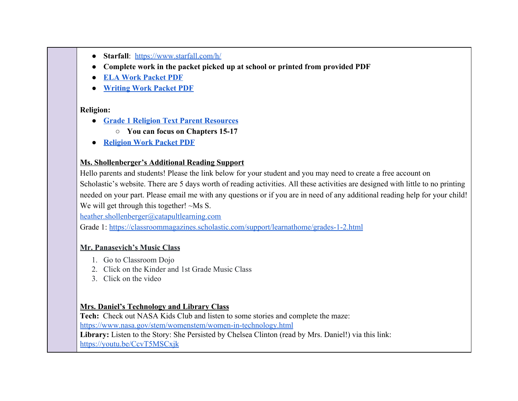- **Starfall**: <https://www.starfall.com/h/>
- **● Complete work in the packet picked up at school or printed from provided PDF**
- **● [ELA Work Packet PDF](https://drive.google.com/open?id=1yyvejjZu8gw6mjll9Rvqq08zTQzivvvz)**
- **● [Writing Work Packet PDF](https://drive.google.com/open?id=1NZQlMLqr3y6aiFZMm5iKmlxFTDc3bOQt)**

#### **Religion:**

- **● [Grade 1 Religion Text Parent Resources](https://www.loyolapress.com/faith-formation/christ-our-life/christ-our-life-2016/parents-and-students/grades-1-8/grades/grade-1)**
	- **○ You can focus on Chapters 15-17**
- **● [Religion Work Packet PDF](https://drive.google.com/open?id=18_nQh6iWgebY9k-0Ll-Wf4Kf1NK9Ro0i)**

#### **Ms. Shollenberger's Additional Reading Support**

Hello parents and students! Please the link below for your student and you may need to create a free account on Scholastic's website. There are 5 days worth of reading activities. All these activities are designed with little to no printing needed on your part. Please email me with any questions or if you are in need of any additional reading help for your child! We will get through this together! ~Ms S.

[heather.shollenberger@catapultlearning.com](mailto:heather.shollenberger@catapultlearning.com)

Grade 1: <https://classroommagazines.scholastic.com/support/learnathome/grades-1-2.html>

### **Mr. Panasevich's Music Class**

- 1. Go to Classroom Dojo
- 2. Click on the Kinder and 1st Grade Music Class
- 3. Click on the video

# **Mrs. Daniel's Technology and Library Class**

**Tech:** Check out NASA Kids Club and listen to some stories and complete the maze:

<https://www.nasa.gov/stem/womenstem/women-in-technology.html>

**Library:** Listen to the Story: She Persisted by Chelsea Clinton (read by Mrs. Daniel!) via this link:

<https://youtu.be/CcvT5MSCxjk>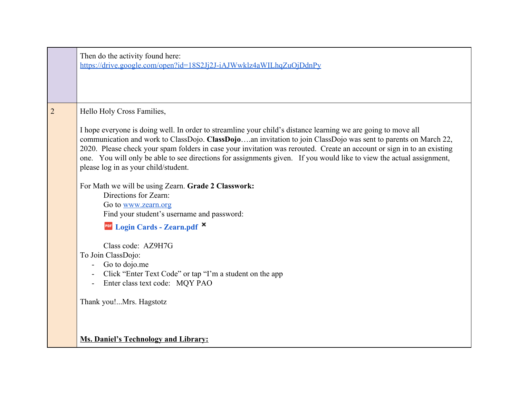|                | Then do the activity found here:<br>https://drive.google.com/open?id=18S2Jj2J-iAJWwklz4aWILhqZuOjDdnPy                                                                                                                                                                                 |
|----------------|----------------------------------------------------------------------------------------------------------------------------------------------------------------------------------------------------------------------------------------------------------------------------------------|
| $\overline{2}$ | Hello Holy Cross Families,<br>I hope everyone is doing well. In order to streamline your child's distance learning we are going to move all<br>communication and work to ClassDojo. ClassDojoan invitation to join ClassDojo was sent to parents on March 22,                          |
|                | 2020. Please check your spam folders in case your invitation was rerouted. Create an account or sign in to an existing<br>one. You will only be able to see directions for assignments given. If you would like to view the actual assignment,<br>please log in as your child/student. |
|                | For Math we will be using Zearn. Grade 2 Classwork:<br>Directions for Zearn:<br>Go to www.zearn.org                                                                                                                                                                                    |
|                | Find your student's username and password:<br><b>For Login Cards - Zearn.pdf ×</b><br>Class code: AZ9H7G                                                                                                                                                                               |
|                | To Join ClassDojo:<br>Go to dojo.me<br>Click "Enter Text Code" or tap "I'm a student on the app<br>Enter class text code: MQY PAO                                                                                                                                                      |
|                | Thank you!Mrs. Hagstotz                                                                                                                                                                                                                                                                |
|                | <b>Ms. Daniel's Technology and Library:</b>                                                                                                                                                                                                                                            |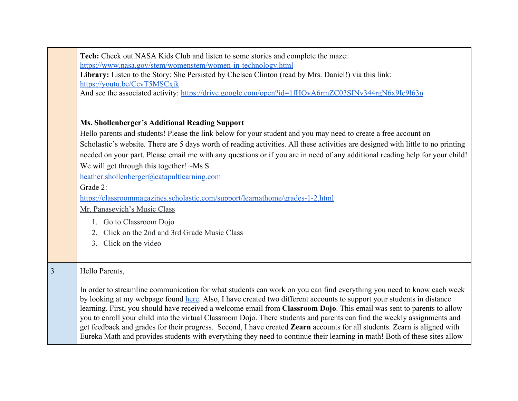|                | Tech: Check out NASA Kids Club and listen to some stories and complete the maze:<br>https://www.nasa.gov/stem/womenstem/women-in-technology.html                                                                                                      |
|----------------|-------------------------------------------------------------------------------------------------------------------------------------------------------------------------------------------------------------------------------------------------------|
|                | Library: Listen to the Story: She Persisted by Chelsea Clinton (read by Mrs. Daniel!) via this link:                                                                                                                                                  |
|                | https://youtu.be/CcvT5MSCxjk                                                                                                                                                                                                                          |
|                | And see the associated activity: https://drive.google.com/open?id=1fHOvA6rmZC03SINv344rgN6x9Ic9l63n                                                                                                                                                   |
|                |                                                                                                                                                                                                                                                       |
|                | <b>Ms. Shollenberger's Additional Reading Support</b>                                                                                                                                                                                                 |
|                | Hello parents and students! Please the link below for your student and you may need to create a free account on                                                                                                                                       |
|                | Scholastic's website. There are 5 days worth of reading activities. All these activities are designed with little to no printing                                                                                                                      |
|                | needed on your part. Please email me with any questions or if you are in need of any additional reading help for your child!                                                                                                                          |
|                | We will get through this together! $\sim$ Ms S.                                                                                                                                                                                                       |
|                | heather.shollenberger@catapultlearning.com                                                                                                                                                                                                            |
|                | Grade 2:                                                                                                                                                                                                                                              |
|                | https://classroommagazines.scholastic.com/support/learnathome/grades-1-2.html                                                                                                                                                                         |
|                | Mr. Panasevich's Music Class                                                                                                                                                                                                                          |
|                | 1. Go to Classroom Dojo                                                                                                                                                                                                                               |
|                | 2. Click on the 2nd and 3rd Grade Music Class                                                                                                                                                                                                         |
|                | 3. Click on the video                                                                                                                                                                                                                                 |
|                |                                                                                                                                                                                                                                                       |
| $\overline{3}$ | Hello Parents,                                                                                                                                                                                                                                        |
|                |                                                                                                                                                                                                                                                       |
|                | In order to streamline communication for what students can work on you can find everything you need to know each week                                                                                                                                 |
|                | by looking at my webpage found here. Also, I have created two different accounts to support your students in distance                                                                                                                                 |
|                | learning. First, you should have received a welcome email from Classroom Dojo. This email was sent to parents to allow                                                                                                                                |
|                | you to enroll your child into the virtual Classroom Dojo. There students and parents can find the weekly assignments and<br>get feedback and grades for their progress. Second, I have created Zearn accounts for all students. Zearn is aligned with |
|                | Eureka Math and provides students with everything they need to continue their learning in math! Both of these sites allow                                                                                                                             |
|                |                                                                                                                                                                                                                                                       |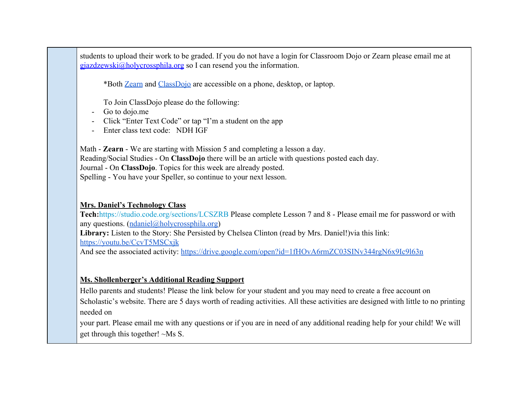students to upload their work to be graded. If you do not have a login for Classroom Dojo or Zearn please email me at gjazdzewski@holycrossphila.org so I can resend you the information.

\*Both [Zearn](https://www.zearn.org/) and [ClassDojo](https://www.classdojo.com/) are accessible on a phone, desktop, or laptop.

To Join ClassDojo please do the following:

Go to dojo.me

- Click "Enter Text Code" or tap "I'm a student on the app

Enter class text code: NDH IGF

Math - **Zearn** - We are starting with Mission 5 and completing a lesson a day. Reading/Social Studies - On **ClassDojo** there will be an article with questions posted each day. Journal - On **ClassDojo**. Topics for this week are already posted. Spelling - You have your Speller, so continue to your next lesson.

## **Mrs. Daniel's Technology Class**

**Tech:**<https://studio.code.org/sections/LCSZRB>Please complete Lesson 7 and 8 - Please email me for password or with any questions. ([ndaniel@holycrossphila.org](mailto:ndaniel@holycrossphila.org)) **Library:** Listen to the Story: She Persisted by Chelsea Clinton (read by Mrs. Daniel!)via this link: <https://youtu.be/CcvT5MSCxjk>

And see the associated activity: <https://drive.google.com/open?id=1fHOvA6rmZC03SINv344rgN6x9Ic9l63n>

### **Ms. Shollenberger's Additional Reading Support**

Hello parents and students! Please the link below for your student and you may need to create a free account on Scholastic's website. There are 5 days worth of reading activities. All these activities are designed with little to no printing needed on

your part. Please email me with any questions or if you are in need of any additional reading help for your child! We will get through this together! ~Ms S.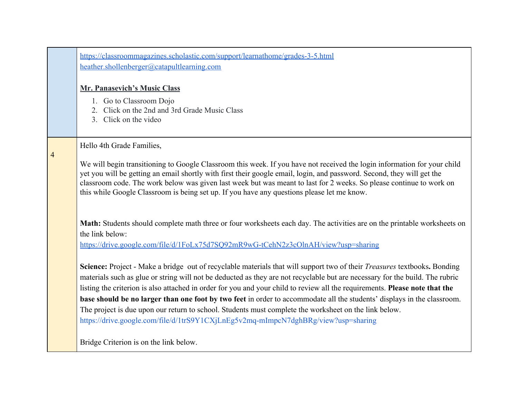|                | https://classroommagazines.scholastic.com/support/learnathome/grades-3-5.html<br>heather.shollenberger@catapultlearning.com                                                                                                                                                                                                                                                                                                                                                                                                                                                                                                                                                                                              |
|----------------|--------------------------------------------------------------------------------------------------------------------------------------------------------------------------------------------------------------------------------------------------------------------------------------------------------------------------------------------------------------------------------------------------------------------------------------------------------------------------------------------------------------------------------------------------------------------------------------------------------------------------------------------------------------------------------------------------------------------------|
|                | <b>Mr. Panasevich's Music Class</b><br>1. Go to Classroom Dojo<br>2. Click on the 2nd and 3rd Grade Music Class<br>3. Click on the video                                                                                                                                                                                                                                                                                                                                                                                                                                                                                                                                                                                 |
| $\overline{4}$ | Hello 4th Grade Families,<br>We will begin transitioning to Google Classroom this week. If you have not received the login information for your child<br>yet you will be getting an email shortly with first their google email, login, and password. Second, they will get the<br>classroom code. The work below was given last week but was meant to last for 2 weeks. So please continue to work on<br>this while Google Classroom is being set up. If you have any questions please let me know.                                                                                                                                                                                                                     |
|                | Math: Students should complete math three or four worksheets each day. The activities are on the printable worksheets on<br>the link below:<br>https://drive.google.com/file/d/1FoLx75d7SQ92mR9wG-tCehN2z3cOlnAH/view?usp=sharing                                                                                                                                                                                                                                                                                                                                                                                                                                                                                        |
|                | Science: Project - Make a bridge out of recyclable materials that will support two of their <i>Treasures</i> textbooks. Bonding<br>materials such as glue or string will not be deducted as they are not recyclable but are necessary for the build. The rubric<br>listing the criterion is also attached in order for you and your child to review all the requirements. Please note that the<br>base should be no larger than one foot by two feet in order to accommodate all the students' displays in the classroom.<br>The project is due upon our return to school. Students must complete the worksheet on the link below.<br>https://drive.google.com/file/d/1trS9Y1CXjLnEg5v2mq-mImpcN7dghBRg/view?usp=sharing |
|                | Bridge Criterion is on the link below.                                                                                                                                                                                                                                                                                                                                                                                                                                                                                                                                                                                                                                                                                   |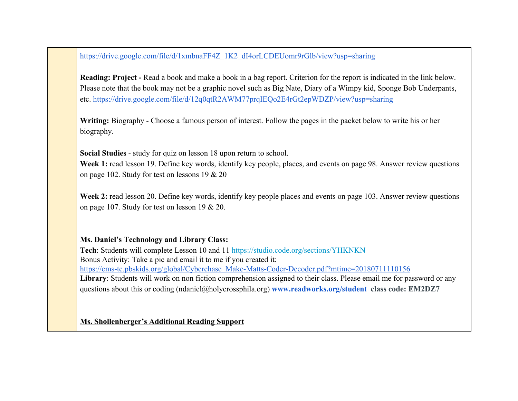[https://drive.google.com/file/d/1xmbnaFF4Z\\_1K2\\_dI4orLCDEUomr9rGlb/view?usp=sharing](https://drive.google.com/file/d/1xmbnaFF4Z_1K2_dI4orLCDEUomr9rGlb/view?usp=sharing)

**Reading: Project - Read a book and make a book in a bag report. Criterion for the report is indicated in the link below.** Please note that the book may not be a graphic novel such as Big Nate, Diary of a Wimpy kid, Sponge Bob Underpants, etc.<https://drive.google.com/file/d/12q0qtR2AWM77prqIEQo2E4rGt2epWDZP/view?usp=sharing>

**Writing:** Biography - Choose a famous person of interest. Follow the pages in the packet below to write his or her biography.

**Social Studies** - study for quiz on lesson 18 upon return to school.

**Week 1:** read lesson 19. Define key words, identify key people, places, and events on page 98. Answer review questions on page 102. Study for test on lessons 19 & 20

**Week 2:** read lesson 20. Define key words, identify key people places and events on page 103. Answer review questions on page 107. Study for test on lesson 19 & 20.

### **Ms. Daniel's Technology and Library Class:**

**Tech**: Students will complete Lesson 10 and 11<https://studio.code.org/sections/YHKNKN> Bonus Activity: Take a pic and email it to me if you created it: [https://cms-tc.pbskids.org/global/Cyberchase\\_Make-Matts-Coder-Decoder.pdf?mtime=20180711110156](https://cms-tc.pbskids.org/global/Cyberchase_Make-Matts-Coder-Decoder.pdf?mtime=20180711110156) **Library**: Students will work on non fiction comprehension assigned to their class. Please email me for password or any questions about this or coding (ndaniel@holycrossphila.org) **[www.readworks.org/student](http://www.readworks.org/student) class code: EM2DZ7**

**Ms. Shollenberger's Additional Reading Support**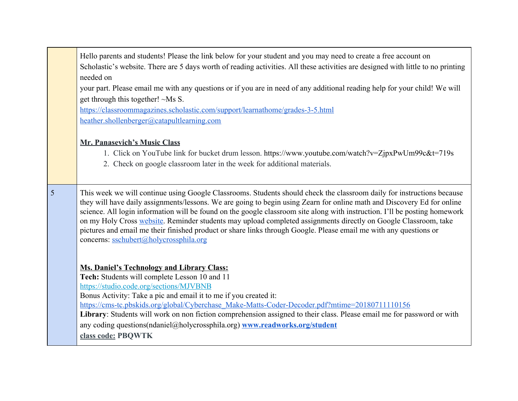|   | Hello parents and students! Please the link below for your student and you may need to create a free account on<br>Scholastic's website. There are 5 days worth of reading activities. All these activities are designed with little to no printing<br>needed on<br>your part. Please email me with any questions or if you are in need of any additional reading help for your child! We will<br>get through this together! ~Ms S.<br>https://classroommagazines.scholastic.com/support/learnathome/grades-3-5.html<br>heather.shollenberger@catapultlearning.com<br>Mr. Panasevich's Music Class<br>1. Click on YouTube link for bucket drum lesson. https://www.youtube.com/watch?v=ZjpxPwUm99c&t=719s<br>2. Check on google classroom later in the week for additional materials. |
|---|---------------------------------------------------------------------------------------------------------------------------------------------------------------------------------------------------------------------------------------------------------------------------------------------------------------------------------------------------------------------------------------------------------------------------------------------------------------------------------------------------------------------------------------------------------------------------------------------------------------------------------------------------------------------------------------------------------------------------------------------------------------------------------------|
| 5 | This week we will continue using Google Classrooms. Students should check the classroom daily for instructions because<br>they will have daily assignments/lessons. We are going to begin using Zearn for online math and Discovery Ed for online<br>science. All login information will be found on the google classroom site along with instruction. I'll be posting homework<br>on my Holy Cross website. Reminder students may upload completed assignments directly on Google Classroom, take<br>pictures and email me their finished product or share links through Google. Please email me with any questions or<br>concerns: sschubert@holycrossphila.org                                                                                                                     |
|   | <b>Ms. Daniel's Technology and Library Class:</b><br>Tech: Students will complete Lesson 10 and 11<br>https://studio.code.org/sections/MJVBNB<br>Bonus Activity: Take a pic and email it to me if you created it:<br>https://cms-tc.pbskids.org/global/Cyberchase Make-Matts-Coder-Decoder.pdf?mtime=20180711110156<br>Library: Students will work on non fiction comprehension assigned to their class. Please email me for password or with<br>any coding questions(ndaniel@holycrossphila.org) www.readworks.org/student<br>class code: PBQWTK                                                                                                                                                                                                                                     |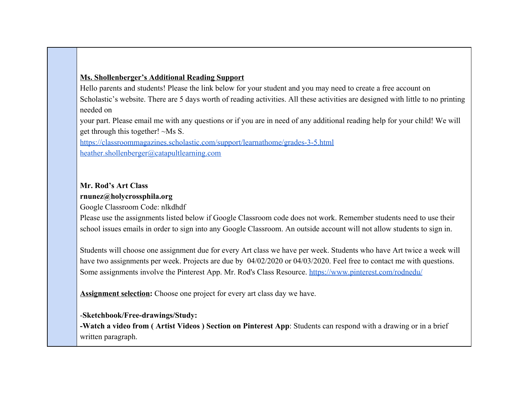### **Ms. Shollenberger's Additional Reading Support**

Hello parents and students! Please the link below for your student and you may need to create a free account on Scholastic's website. There are 5 days worth of reading activities. All these activities are designed with little to no printing needed on

your part. Please email me with any questions or if you are in need of any additional reading help for your child! We will get through this together! ~Ms S.

<https://classroommagazines.scholastic.com/support/learnathome/grades-3-5.html> [heather.shollenberger@catapultlearning.com](mailto:heather.shollenberger@catapultlearning.com)

### **Mr. Rod's Art Class [rnunez@holycrossphila.org](https://docs.google.com/document/u/3/d/1beLHm9XFxClXLxdqcamuQfu4SYTECIOm-kVy9fR0J_U/edit?ouid=116731692186764124500&usp=docs_home&ths=true&authuser=2)**

Google Classroom Code: nlkdhdf

Please use the assignments listed below if Google Classroom code does not work. Remember students need to use their school issues emails in order to sign into any Google Classroom. An outside account will not allow students to sign in.

Students will choose one assignment due for every Art class we have per week. Students who have Art twice a week will have two assignments per week. Projects are due by  $04/02/2020$  or  $04/03/2020$ . Feel free to contact me with questions. Some assignments involve the Pinterest App. Mr. Rod's Class Resource.<https://www.pinterest.com/rodnedu/>

**Assignment selection:** Choose one project for every art class day we have.

### -**Sketchbook/Free-drawings/Study:**

**-Watch a video from ( Artist Videos ) Section on Pinterest App**: Students can respond with a drawing or in a brief written paragraph.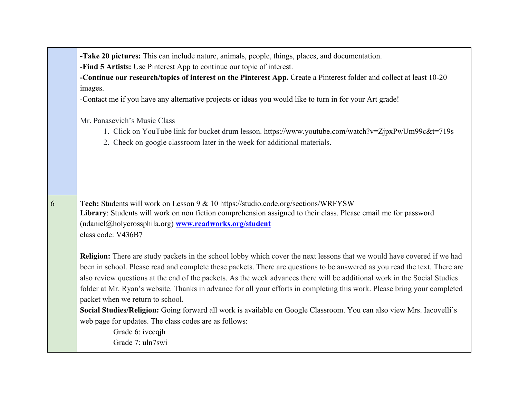|   | -Take 20 pictures: This can include nature, animals, people, things, places, and documentation.<br>-Find 5 Artists: Use Pinterest App to continue our topic of interest.                                                                                                                                                                                                                                                                                                                                                                                   |
|---|------------------------------------------------------------------------------------------------------------------------------------------------------------------------------------------------------------------------------------------------------------------------------------------------------------------------------------------------------------------------------------------------------------------------------------------------------------------------------------------------------------------------------------------------------------|
|   | -Continue our research/topics of interest on the Pinterest App. Create a Pinterest folder and collect at least 10-20                                                                                                                                                                                                                                                                                                                                                                                                                                       |
|   | images.                                                                                                                                                                                                                                                                                                                                                                                                                                                                                                                                                    |
|   | -Contact me if you have any alternative projects or ideas you would like to turn in for your Art grade!                                                                                                                                                                                                                                                                                                                                                                                                                                                    |
|   | Mr. Panasevich's Music Class                                                                                                                                                                                                                                                                                                                                                                                                                                                                                                                               |
|   | 1. Click on YouTube link for bucket drum lesson. https://www.youtube.com/watch?v=ZjpxPwUm99c&t=719s<br>2. Check on google classroom later in the week for additional materials.                                                                                                                                                                                                                                                                                                                                                                            |
|   |                                                                                                                                                                                                                                                                                                                                                                                                                                                                                                                                                            |
| 6 | Tech: Students will work on Lesson 9 & 10 https://studio.code.org/sections/WRFYSW<br>Library: Students will work on non fiction comprehension assigned to their class. Please email me for password<br>(ndaniel@holycrossphila.org) www.readworks.org/student<br>class code: V436B7                                                                                                                                                                                                                                                                        |
|   | <b>Religion:</b> There are study packets in the school lobby which cover the next lessons that we would have covered if we had<br>been in school. Please read and complete these packets. There are questions to be answered as you read the text. There are<br>also review questions at the end of the packets. As the week advances there will be additional work in the Social Studies<br>folder at Mr. Ryan's website. Thanks in advance for all your efforts in completing this work. Please bring your completed<br>packet when we return to school. |
|   | Social Studies/Religion: Going forward all work is available on Google Classroom. You can also view Mrs. Iacovelli's<br>web page for updates. The class codes are as follows:                                                                                                                                                                                                                                                                                                                                                                              |
|   | Grade 6: ivccqjh                                                                                                                                                                                                                                                                                                                                                                                                                                                                                                                                           |
|   | Grade 7: uln7swi                                                                                                                                                                                                                                                                                                                                                                                                                                                                                                                                           |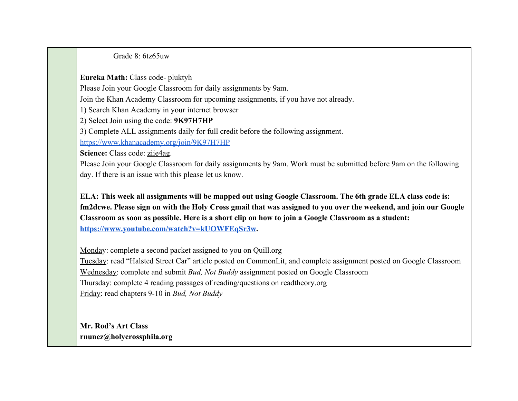Grade 8: 6tz65uw

**Eureka Math:** Class code- pluktyh

Please Join your Google Classroom for daily assignments by 9am.

Join the Khan Academy Classroom for upcoming assignments, if you have not already.

1) Search Khan Academy in your internet browser

2) Select Join using the code: **9K97H7HP**

3) Complete ALL assignments daily for full credit before the following assignment.

<https://www.khanacademy.org/join/9K97H7HP>

Science: Class code: ziie4ag.

Please Join your Google Classroom for daily assignments by 9am. Work must be submitted before 9am on the following day. If there is an issue with this please let us know.

**ELA: This week all assignments will be mapped out using Google Classroom. The 6th grade ELA class code is: fm2dcwe. Please sign on with the Holy Cross gmail that was assigned to you over the weekend, and join our Google Classroom as soon as possible. Here is a short clip on how to join a Google Classroom as a student: [https://www.youtube.com/watch?v=kUOWFEqSr3w.](https://www.youtube.com/watch?v=kUOWFEqSr3w)**

Monday: complete a second packet assigned to you on Quill.org Tuesday: read "Halsted Street Car" article posted on CommonLit, and complete assignment posted on Google Classroom Wednesday: complete and submit *Bud, Not Buddy* assignment posted on Google Classroom Thursday: complete 4 reading passages of reading/questions on readtheory.org Friday: read chapters 9-10 in *Bud, Not Buddy*

**Mr. Rod's Art Class [rnunez@holycrossphila.org](https://docs.google.com/document/u/3/d/1beLHm9XFxClXLxdqcamuQfu4SYTECIOm-kVy9fR0J_U/edit?ouid=116731692186764124500&usp=docs_home&ths=true&authuser=2)**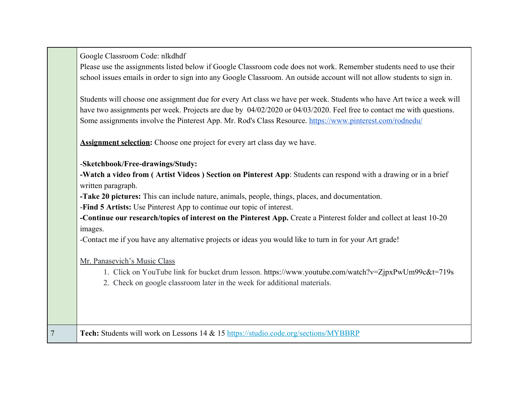|                | Google Classroom Code: nlkdhdf<br>Please use the assignments listed below if Google Classroom code does not work. Remember students need to use their<br>school issues emails in order to sign into any Google Classroom. An outside account will not allow students to sign in.                                                                                                                                                                                                                                                                                                                                                                                                                                                                                                                                       |
|----------------|------------------------------------------------------------------------------------------------------------------------------------------------------------------------------------------------------------------------------------------------------------------------------------------------------------------------------------------------------------------------------------------------------------------------------------------------------------------------------------------------------------------------------------------------------------------------------------------------------------------------------------------------------------------------------------------------------------------------------------------------------------------------------------------------------------------------|
|                | Students will choose one assignment due for every Art class we have per week. Students who have Art twice a week will<br>have two assignments per week. Projects are due by 04/02/2020 or 04/03/2020. Feel free to contact me with questions.<br>Some assignments involve the Pinterest App. Mr. Rod's Class Resource. https://www.pinterest.com/rodnedu/                                                                                                                                                                                                                                                                                                                                                                                                                                                              |
|                | <b>Assignment selection:</b> Choose one project for every art class day we have.                                                                                                                                                                                                                                                                                                                                                                                                                                                                                                                                                                                                                                                                                                                                       |
|                | -Sketchbook/Free-drawings/Study:<br>-Watch a video from (Artist Videos) Section on Pinterest App: Students can respond with a drawing or in a brief<br>written paragraph.<br>-Take 20 pictures: This can include nature, animals, people, things, places, and documentation.<br>-Find 5 Artists: Use Pinterest App to continue our topic of interest.<br>-Continue our research/topics of interest on the Pinterest App. Create a Pinterest folder and collect at least 10-20<br>images.<br>-Contact me if you have any alternative projects or ideas you would like to turn in for your Art grade!<br>Mr. Panasevich's Music Class<br>1. Click on YouTube link for bucket drum lesson. https://www.youtube.com/watch?v=ZjpxPwUm99c&t=719s<br>2. Check on google classroom later in the week for additional materials. |
| $\overline{7}$ | Tech: Students will work on Lessons 14 & 15 https://studio.code.org/sections/MYBBRP                                                                                                                                                                                                                                                                                                                                                                                                                                                                                                                                                                                                                                                                                                                                    |
|                |                                                                                                                                                                                                                                                                                                                                                                                                                                                                                                                                                                                                                                                                                                                                                                                                                        |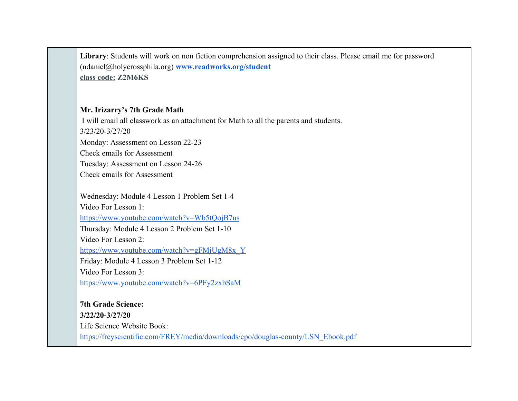**Library**: Students will work on non fiction comprehension assigned to their class. Please email me for password (ndaniel@holycrossphila.org) **[www.readworks.org/student](http://www.readworks.org/student) class code: Z2M6KS**

#### **Mr. Irizarry's 7th Grade Math**

I will email all classwork as an attachment for Math to all the parents and students. 3/23/20-3/27/20 Monday: Assessment on Lesson 22-23 Check emails for Assessment Tuesday: Assessment on Lesson 24-26 Check emails for Assessment Wednesday: Module 4 Lesson 1 Problem Set 1-4 Video For Lesson 1:

<https://www.youtube.com/watch?v=Wb5tQojB7us> Thursday: Module 4 Lesson 2 Problem Set 1-10 Video For Lesson 2:

[https://www.youtube.com/watch?v=gFMjUgM8x\\_Y](https://www.youtube.com/watch?v=gFMjUgM8x_Y)

Friday: Module 4 Lesson 3 Problem Set 1-12

Video For Lesson 3:

<https://www.youtube.com/watch?v=6PFy2zxbSaM>

**7th Grade Science: 3/22/20-3/27/20** Life Science Website Book: [https://freyscientific.com/FREY/media/downloads/cpo/douglas-county/LSN\\_Ebook.pdf](https://freyscientific.com/FREY/media/downloads/cpo/douglas-county/LSN_Ebook.pdf)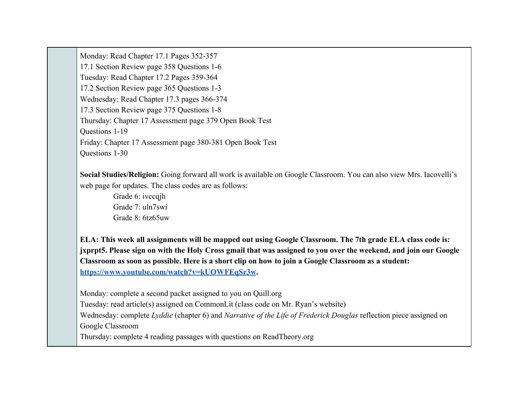Monday: Read Chapter 17.1 Pages 352-357 17.1 Section Review page 358 Questions 1-6 Tuesday: Read Chapter 17.2 Pages 359-364 17.2 Section Review page 365 Questions 1-3 Wednesday: Read Chapter 17.3 pages 366-374 17.3 Section Review page 375 Questions 1-8 Thursday: Chapter 17 Assessment page 379 Open Book Test Questions 1-19 Friday: Chapter 17 Assessment page 380-381 Open Book Test Questions 1-30

**Social Studies/Religion:** Going forward all work is available on Google Classroom. You can also view Mrs. Iacovelli's web page for updates. The class codes are as follows:

Grade 6: ivccqih Grade 7: uln7swi Grade 8: 6tz65uw

**ELA: This week all assignments will be mapped out using Google Classroom. The 7th grade ELA class code is: jxprpt5. Please sign on with the Holy Cross gmail that was assigned to you over the weekend, and join our Google Classroom as soon as possible. Here is a short clip on how to join a Google Classroom as a student: [https://www.youtube.com/watch?v=kUOWFEqSr3w.](https://www.youtube.com/watch?v=kUOWFEqSr3w)**

Monday: complete a second packet assigned to you on Quill.org

Tuesday: read article(s) assigned on CommonLit (class code on Mr. Ryan's website)

Wednesday: complete *Lyddie* (chapter 6) and *Narrative of the Life of Frederick Douglas* reflection piece assigned on Google Classroom

Thursday: complete 4 reading passages with questions on ReadTheory.org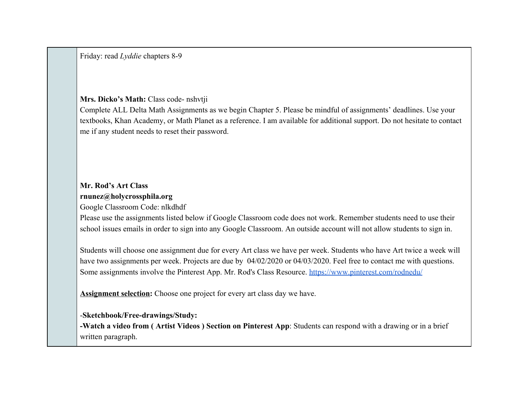Friday: read *Lyddie* chapters 8-9

#### **Mrs. Dicko's Math:** Class code- nshvtji

Complete ALL Delta Math Assignments as we begin Chapter 5. Please be mindful of assignments' deadlines. Use your textbooks, Khan Academy, or Math Planet as a reference. I am available for additional support. Do not hesitate to contact me if any student needs to reset their password.

## **Mr. Rod's Art Class [rnunez@holycrossphila.org](https://docs.google.com/document/u/3/d/1beLHm9XFxClXLxdqcamuQfu4SYTECIOm-kVy9fR0J_U/edit?ouid=116731692186764124500&usp=docs_home&ths=true&authuser=2)**

Google Classroom Code: nlkdhdf

Please use the assignments listed below if Google Classroom code does not work. Remember students need to use their school issues emails in order to sign into any Google Classroom. An outside account will not allow students to sign in.

Students will choose one assignment due for every Art class we have per week. Students who have Art twice a week will have two assignments per week. Projects are due by  $04/02/2020$  or  $04/03/2020$ . Feel free to contact me with questions. Some assignments involve the Pinterest App. Mr. Rod's Class Resource.<https://www.pinterest.com/rodnedu/>

**Assignment selection:** Choose one project for every art class day we have.

### -**Sketchbook/Free-drawings/Study:**

**-Watch a video from ( Artist Videos ) Section on Pinterest App**: Students can respond with a drawing or in a brief written paragraph.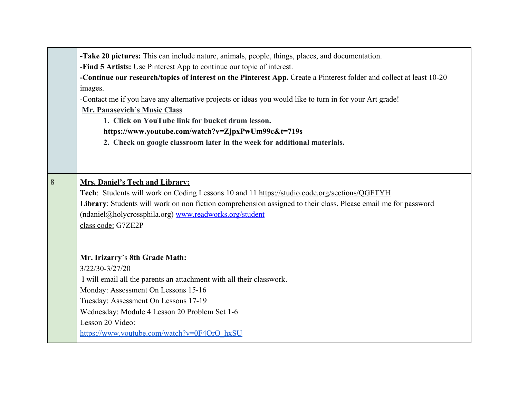|   | -Take 20 pictures: This can include nature, animals, people, things, places, and documentation.                      |
|---|----------------------------------------------------------------------------------------------------------------------|
|   | -Find 5 Artists: Use Pinterest App to continue our topic of interest.                                                |
|   | -Continue our research/topics of interest on the Pinterest App. Create a Pinterest folder and collect at least 10-20 |
|   | images.                                                                                                              |
|   | -Contact me if you have any alternative projects or ideas you would like to turn in for your Art grade!              |
|   | Mr. Panasevich's Music Class                                                                                         |
|   | 1. Click on YouTube link for bucket drum lesson.                                                                     |
|   | https://www.youtube.com/watch?v=ZjpxPwUm99c&t=719s                                                                   |
|   | 2. Check on google classroom later in the week for additional materials.                                             |
|   |                                                                                                                      |
|   |                                                                                                                      |
|   |                                                                                                                      |
| 8 | <b>Mrs. Daniel's Tech and Library:</b>                                                                               |
|   | Tech: Students will work on Coding Lessons 10 and 11 https://studio.code.org/sections/QGFTYH                         |
|   | Library: Students will work on non fiction comprehension assigned to their class. Please email me for password       |
|   | (ndaniel@holycrossphila.org) www.readworks.org/student                                                               |
|   | class code: G7ZE2P                                                                                                   |
|   |                                                                                                                      |
|   |                                                                                                                      |
|   | Mr. Irizarry's 8th Grade Math:                                                                                       |
|   | 3/22/30-3/27/20                                                                                                      |
|   | I will email all the parents an attachment with all their classwork.                                                 |
|   | Monday: Assessment On Lessons 15-16                                                                                  |
|   | Tuesday: Assessment On Lessons 17-19                                                                                 |
|   | Wednesday: Module 4 Lesson 20 Problem Set 1-6                                                                        |
|   | Lesson 20 Video:                                                                                                     |
|   | https://www.youtube.com/watch?v=0F4QrO_hxSU                                                                          |
|   |                                                                                                                      |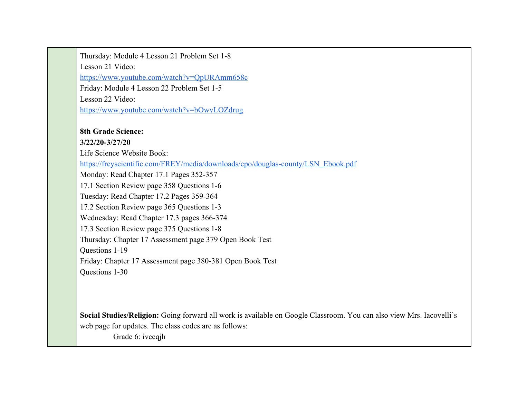Thursday: Module 4 Lesson 21 Problem Set 1-8 Lesson 21 Video: <https://www.youtube.com/watch?v=QpURAmm658c> Friday: Module 4 Lesson 22 Problem Set 1-5 Lesson 22 Video: <https://www.youtube.com/watch?v=bOwvLOZdrug> **8th Grade Science: 3/22/20-3/27/20** Life Science Website Book:

[https://freyscientific.com/FREY/media/downloads/cpo/douglas-county/LSN\\_Ebook.pdf](https://freyscientific.com/FREY/media/downloads/cpo/douglas-county/LSN_Ebook.pdf)

Monday: Read Chapter 17.1 Pages 352-357

17.1 Section Review page 358 Questions 1-6

Tuesday: Read Chapter 17.2 Pages 359-364

17.2 Section Review page 365 Questions 1-3

Wednesday: Read Chapter 17.3 pages 366-374

17.3 Section Review page 375 Questions 1-8

Thursday: Chapter 17 Assessment page 379 Open Book Test

Questions 1-19

Friday: Chapter 17 Assessment page 380-381 Open Book Test

Questions 1-30

**Social Studies/Religion:** Going forward all work is available on Google Classroom. You can also view Mrs. Iacovelli's web page for updates. The class codes are as follows:

Grade 6: ivccqih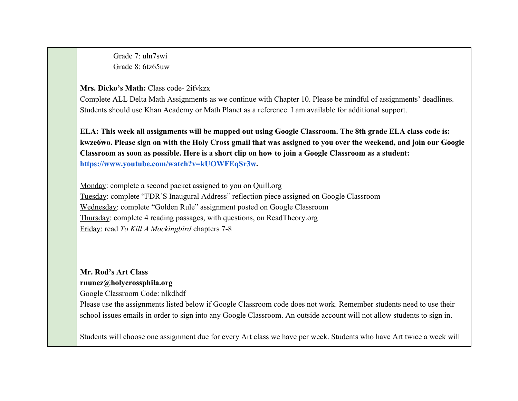Grade 7: uln7swi Grade 8: 6tz65uw

#### **Mrs. Dicko's Math:** Class code- 2ifvkzx

Complete ALL Delta Math Assignments as we continue with Chapter 10. Please be mindful of assignments' deadlines. Students should use Khan Academy or Math Planet as a reference. I am available for additional support.

**ELA: This week all assignments will be mapped out using Google Classroom. The 8th grade ELA class code is: kwze6wo. Please sign on with the Holy Cross gmail that was assigned to you over the weekend, and join our Google Classroom as soon as possible. Here is a short clip on how to join a Google Classroom as a student: [https://www.youtube.com/watch?v=kUOWFEqSr3w.](https://www.youtube.com/watch?v=kUOWFEqSr3w)**

Monday: complete a second packet assigned to you on Quill.org Tuesday: complete "FDR'S Inaugural Address" reflection piece assigned on Google Classroom Wednesday: complete "Golden Rule" assignment posted on Google Classroom Thursday: complete 4 reading passages, with questions, on ReadTheory.org Friday: read *To Kill A Mockingbird* chapters 7-8

## **Mr. Rod's Art Class [rnunez@holycrossphila.org](https://docs.google.com/document/u/3/d/1beLHm9XFxClXLxdqcamuQfu4SYTECIOm-kVy9fR0J_U/edit?ouid=116731692186764124500&usp=docs_home&ths=true&authuser=2)**

Google Classroom Code: nlkdhdf

Please use the assignments listed below if Google Classroom code does not work. Remember students need to use their school issues emails in order to sign into any Google Classroom. An outside account will not allow students to sign in.

Students will choose one assignment due for every Art class we have per week. Students who have Art twice a week will